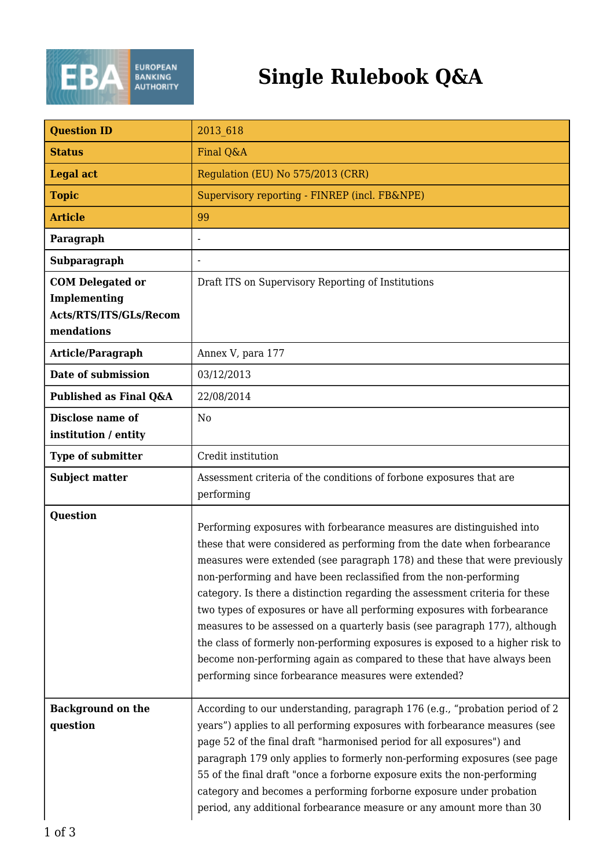

## **Single Rulebook Q&A**

| <b>Question ID</b>                                                              | 2013 618                                                                                                                                                                                                                                                                                                                                                                                                                                                                                                                                                                                                                                                                                                                                                        |
|---------------------------------------------------------------------------------|-----------------------------------------------------------------------------------------------------------------------------------------------------------------------------------------------------------------------------------------------------------------------------------------------------------------------------------------------------------------------------------------------------------------------------------------------------------------------------------------------------------------------------------------------------------------------------------------------------------------------------------------------------------------------------------------------------------------------------------------------------------------|
| <b>Status</b>                                                                   | Final Q&A                                                                                                                                                                                                                                                                                                                                                                                                                                                                                                                                                                                                                                                                                                                                                       |
| <b>Legal act</b>                                                                | Regulation (EU) No 575/2013 (CRR)                                                                                                                                                                                                                                                                                                                                                                                                                                                                                                                                                                                                                                                                                                                               |
| <b>Topic</b>                                                                    | Supervisory reporting - FINREP (incl. FB&NPE)                                                                                                                                                                                                                                                                                                                                                                                                                                                                                                                                                                                                                                                                                                                   |
| <b>Article</b>                                                                  | 99                                                                                                                                                                                                                                                                                                                                                                                                                                                                                                                                                                                                                                                                                                                                                              |
| Paragraph                                                                       |                                                                                                                                                                                                                                                                                                                                                                                                                                                                                                                                                                                                                                                                                                                                                                 |
| Subparagraph                                                                    |                                                                                                                                                                                                                                                                                                                                                                                                                                                                                                                                                                                                                                                                                                                                                                 |
| <b>COM Delegated or</b><br>Implementing<br>Acts/RTS/ITS/GLs/Recom<br>mendations | Draft ITS on Supervisory Reporting of Institutions                                                                                                                                                                                                                                                                                                                                                                                                                                                                                                                                                                                                                                                                                                              |
| Article/Paragraph                                                               | Annex V, para 177                                                                                                                                                                                                                                                                                                                                                                                                                                                                                                                                                                                                                                                                                                                                               |
| Date of submission                                                              | 03/12/2013                                                                                                                                                                                                                                                                                                                                                                                                                                                                                                                                                                                                                                                                                                                                                      |
| Published as Final Q&A                                                          | 22/08/2014                                                                                                                                                                                                                                                                                                                                                                                                                                                                                                                                                                                                                                                                                                                                                      |
| Disclose name of<br>institution / entity                                        | No                                                                                                                                                                                                                                                                                                                                                                                                                                                                                                                                                                                                                                                                                                                                                              |
| <b>Type of submitter</b>                                                        | Credit institution                                                                                                                                                                                                                                                                                                                                                                                                                                                                                                                                                                                                                                                                                                                                              |
| <b>Subject matter</b>                                                           | Assessment criteria of the conditions of forbone exposures that are<br>performing                                                                                                                                                                                                                                                                                                                                                                                                                                                                                                                                                                                                                                                                               |
| <b>Question</b>                                                                 | Performing exposures with forbearance measures are distinguished into<br>these that were considered as performing from the date when forbearance<br>measures were extended (see paragraph 178) and these that were previously<br>non-performing and have been reclassified from the non-performing<br>category. Is there a distinction regarding the assessment criteria for these<br>two types of exposures or have all performing exposures with forbearance<br>measures to be assessed on a quarterly basis (see paragraph 177), although<br>the class of formerly non-performing exposures is exposed to a higher risk to<br>become non-performing again as compared to these that have always been<br>performing since forbearance measures were extended? |
| <b>Background on the</b><br>question                                            | According to our understanding, paragraph 176 (e.g., "probation period of 2<br>years") applies to all performing exposures with forbearance measures (see<br>page 52 of the final draft "harmonised period for all exposures") and<br>paragraph 179 only applies to formerly non-performing exposures (see page<br>55 of the final draft "once a forborne exposure exits the non-performing<br>category and becomes a performing forborne exposure under probation<br>period, any additional forbearance measure or any amount more than 30                                                                                                                                                                                                                     |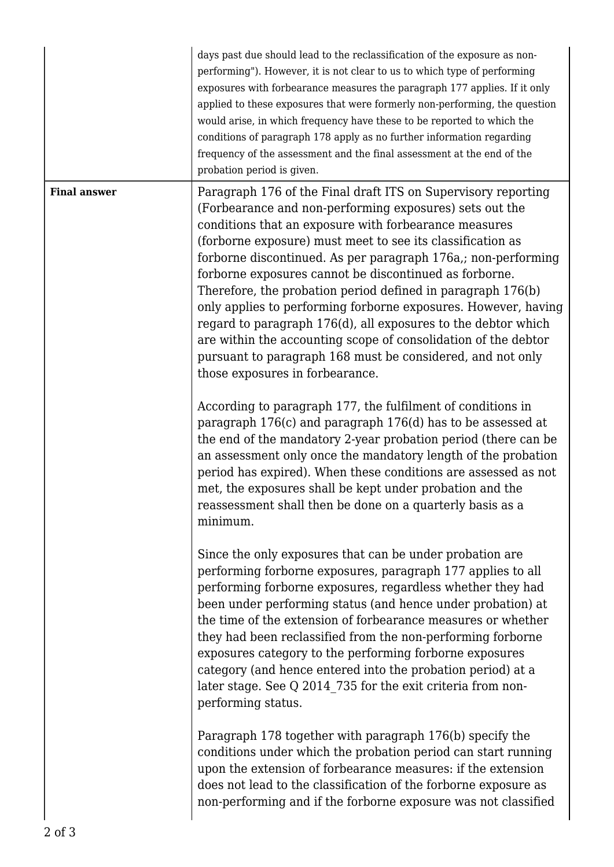|                     | days past due should lead to the reclassification of the exposure as non-<br>performing"). However, it is not clear to us to which type of performing<br>exposures with forbearance measures the paragraph 177 applies. If it only<br>applied to these exposures that were formerly non-performing, the question<br>would arise, in which frequency have these to be reported to which the<br>conditions of paragraph 178 apply as no further information regarding<br>frequency of the assessment and the final assessment at the end of the<br>probation period is given.                                                                                                                                                                     |
|---------------------|-------------------------------------------------------------------------------------------------------------------------------------------------------------------------------------------------------------------------------------------------------------------------------------------------------------------------------------------------------------------------------------------------------------------------------------------------------------------------------------------------------------------------------------------------------------------------------------------------------------------------------------------------------------------------------------------------------------------------------------------------|
| <b>Final answer</b> | Paragraph 176 of the Final draft ITS on Supervisory reporting<br>(Forbearance and non-performing exposures) sets out the<br>conditions that an exposure with forbearance measures<br>(forborne exposure) must meet to see its classification as<br>forborne discontinued. As per paragraph 176a,; non-performing<br>forborne exposures cannot be discontinued as forborne.<br>Therefore, the probation period defined in paragraph 176(b)<br>only applies to performing forborne exposures. However, having<br>regard to paragraph 176(d), all exposures to the debtor which<br>are within the accounting scope of consolidation of the debtor<br>pursuant to paragraph 168 must be considered, and not only<br>those exposures in forbearance. |
|                     | According to paragraph 177, the fulfilment of conditions in<br>paragraph 176(c) and paragraph 176(d) has to be assessed at<br>the end of the mandatory 2-year probation period (there can be<br>an assessment only once the mandatory length of the probation<br>period has expired). When these conditions are assessed as not<br>met, the exposures shall be kept under probation and the<br>reassessment shall then be done on a quarterly basis as a<br>minimum.                                                                                                                                                                                                                                                                            |
|                     | Since the only exposures that can be under probation are<br>performing forborne exposures, paragraph 177 applies to all<br>performing forborne exposures, regardless whether they had<br>been under performing status (and hence under probation) at<br>the time of the extension of forbearance measures or whether<br>they had been reclassified from the non-performing forborne<br>exposures category to the performing forborne exposures<br>category (and hence entered into the probation period) at a<br>later stage. See Q 2014 735 for the exit criteria from non-<br>performing status.                                                                                                                                              |
|                     | Paragraph 178 together with paragraph 176(b) specify the<br>conditions under which the probation period can start running<br>upon the extension of forbearance measures: if the extension<br>does not lead to the classification of the forborne exposure as<br>non-performing and if the forborne exposure was not classified                                                                                                                                                                                                                                                                                                                                                                                                                  |